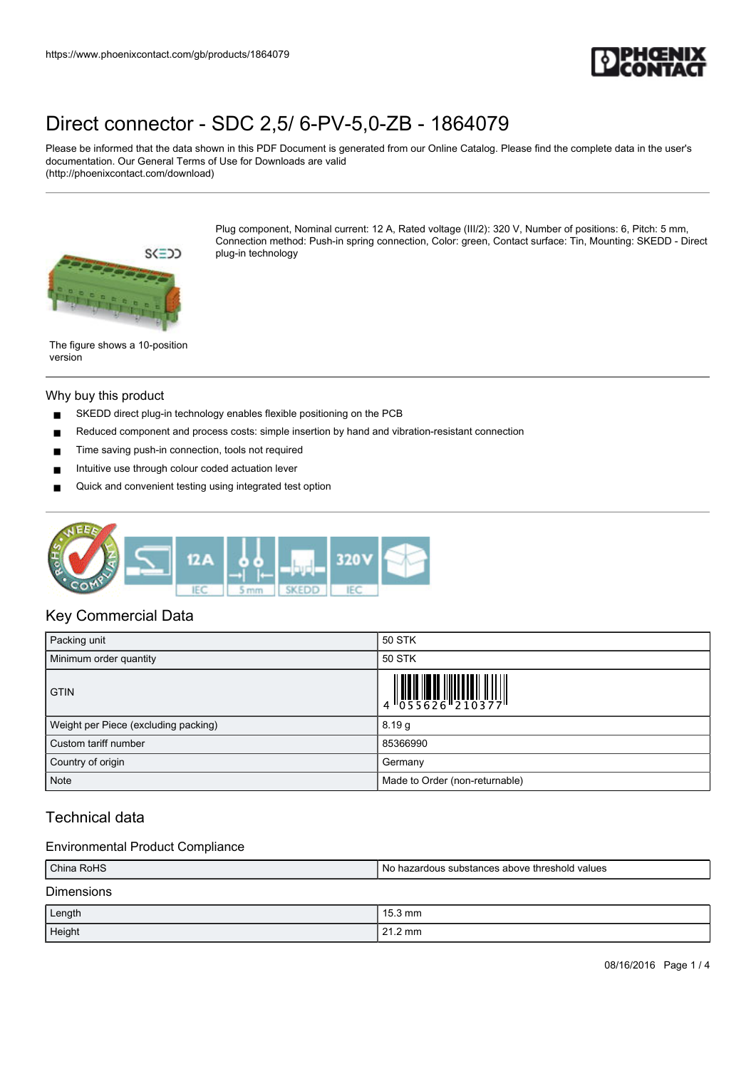

Please be informed that the data shown in this PDF Document is generated from our Online Catalog. Please find the complete data in the user's documentation. Our General Terms of Use for Downloads are valid (http://phoenixcontact.com/download)



Plug component, Nominal current: 12 A, Rated voltage (III/2): 320 V, Number of positions: 6, Pitch: 5 mm, Connection method: Push-in spring connection, Color: green, Contact surface: Tin, Mounting: SKEDD - Direct plug-in technology

The figure shows a 10-position version

### Why buy this product

- SKEDD direct plug-in technology enables flexible positioning on the PCB
- Reduced component and process costs: simple insertion by hand and vibration-resistant connection
- Time saving push-in connection, tools not required
- Intuitive use through colour coded actuation lever
- Quick and convenient testing using integrated test option



### Key Commercial Data

| Packing unit                         | 50 STK                                                      |
|--------------------------------------|-------------------------------------------------------------|
| Minimum order quantity               | 50 STK                                                      |
| <b>GTIN</b>                          | $\begin{array}{c} 1 \\ 4 \\ 055626 \\ 10377 \\ \end{array}$ |
| Weight per Piece (excluding packing) | 8.19 <sub>g</sub>                                           |
| Custom tariff number                 | 85366990                                                    |
| Country of origin                    | Germany                                                     |
| <b>Note</b>                          | Made to Order (non-returnable)                              |

## Technical data

### Environmental Product Compliance

| China RoHS        | l No hazardous substances above threshold values |
|-------------------|--------------------------------------------------|
| <b>Dimensions</b> |                                                  |
| Length            | $15.3 \text{ mm}$                                |
| Height            | $21.2 \text{ mm}$                                |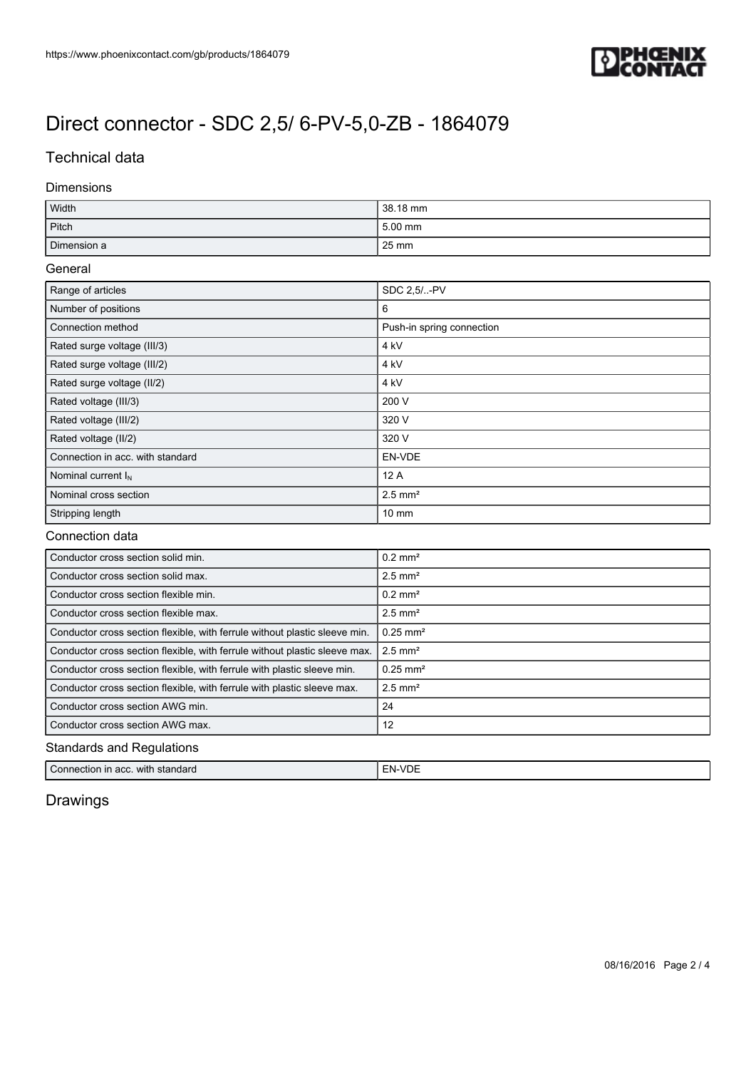

### Technical data

### Dimensions

| Width       | 38.18 mm  |
|-------------|-----------|
| Pitch       | $5.00$ mm |
| Dimension a | 25 mm     |

### General

| Range of articles                | SDC 2.5/-PV               |
|----------------------------------|---------------------------|
| Number of positions              | 6                         |
| Connection method                | Push-in spring connection |
| Rated surge voltage (III/3)      | 4 kV                      |
| Rated surge voltage (III/2)      | 4 kV                      |
| Rated surge voltage (II/2)       | 4 kV                      |
| Rated voltage (III/3)            | 200 V                     |
| Rated voltage (III/2)            | 320 V                     |
| Rated voltage (II/2)             | 320 V                     |
| Connection in acc. with standard | EN-VDE                    |
| Nominal current $I_N$            | 12A                       |
| Nominal cross section            | $2.5$ mm <sup>2</sup>     |
| Stripping length                 | $10 \text{ mm}$           |

### Connection data

| Conductor cross section solid min.                                         | $0.2$ mm <sup>2</sup>  |  |
|----------------------------------------------------------------------------|------------------------|--|
| Conductor cross section solid max.                                         | $2.5$ mm <sup>2</sup>  |  |
| Conductor cross section flexible min.                                      | $0.2$ mm <sup>2</sup>  |  |
| Conductor cross section flexible max.                                      | $2.5$ mm <sup>2</sup>  |  |
| Conductor cross section flexible, with ferrule without plastic sleeve min. | $0.25 \text{ mm}^2$    |  |
| Conductor cross section flexible, with ferrule without plastic sleeve max. | $2.5$ mm <sup>2</sup>  |  |
| Conductor cross section flexible, with ferrule with plastic sleeve min.    | $0.25$ mm <sup>2</sup> |  |
| Conductor cross section flexible, with ferrule with plastic sleeve max.    | $2.5$ mm <sup>2</sup>  |  |
| Conductor cross section AWG min.                                           | 24                     |  |
| Conductor cross section AWG max.                                           | 12                     |  |
| <b>Standards and Regulations</b>                                           |                        |  |

| Connection in | ۰N              |
|---------------|-----------------|
| standard      | $\cdot$ $\cdot$ |
| acc.          | --              |
| with          |                 |

## Drawings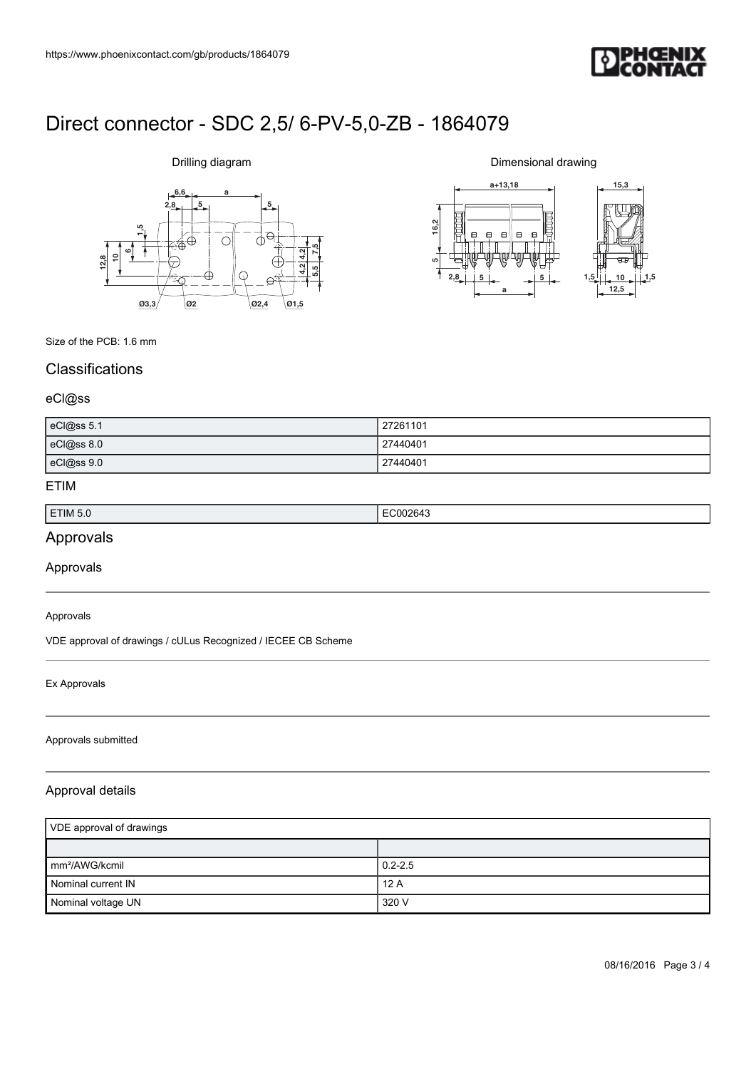

# **6,6 a**  $2,8$   $5$ **612,810 1,5 7,5 5,5 4,2 4,2 Ø3,3 Ø2 Ø2,4 Ø1,5**

Drilling diagram

Dimensional drawing



Size of the PCB: 1.6 mm

## **Classifications**

### eCl@ss

| eCl@ss 5.1 | 27261101 |
|------------|----------|
| eCl@ss 8.0 | 27440401 |
| eCl@ss 9.0 | 27440401 |

### ETIM

| ETIM 5.0 | .<br>. |
|----------|--------|
|          |        |

## Approvals

Approvals

#### Approvals

VDE approval of drawings / cULus Recognized / IECEE CB Scheme

### Ex Approvals

#### Approvals submitted

### Approval details

| VDE approval of drawings    |             |
|-----------------------------|-------------|
|                             |             |
| $\mathsf{Imm}^2$ /AWG/kcmil | $0.2 - 2.5$ |
| Nominal current IN          | 12A         |
| Nominal voltage UN          | 320 V       |